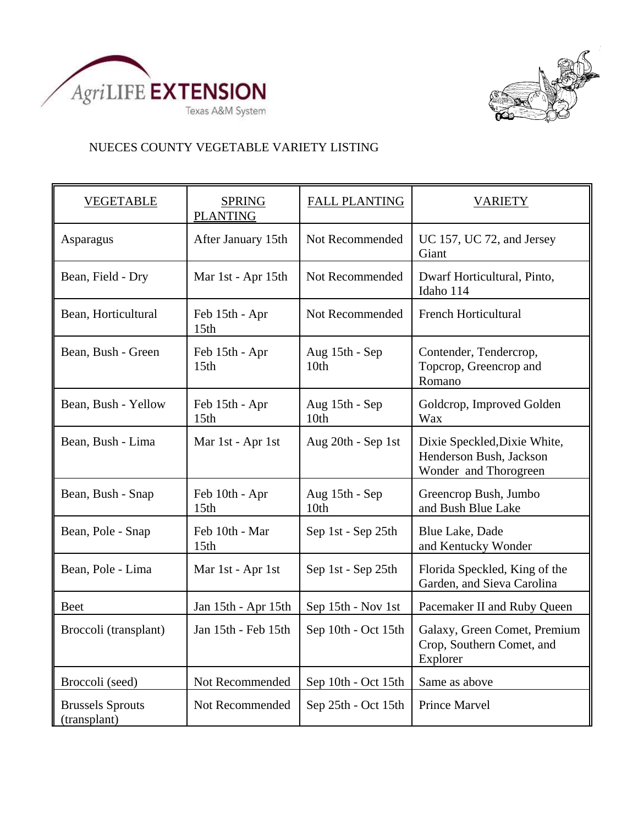



## NUECES COUNTY VEGETABLE VARIETY LISTING

| <b>VEGETABLE</b>                        | <b>SPRING</b><br><b>PLANTING</b>   | <b>FALL PLANTING</b>   | <b>VARIETY</b>                                                                   |
|-----------------------------------------|------------------------------------|------------------------|----------------------------------------------------------------------------------|
| Asparagus                               | After January 15th                 | Not Recommended        | UC 157, UC 72, and Jersey<br>Giant                                               |
| Bean, Field - Dry                       | Mar 1st - Apr 15th                 | Not Recommended        | Dwarf Horticultural, Pinto,<br>Idaho 114                                         |
| Bean, Horticultural                     | Feb 15th - Apr<br>15th             | Not Recommended        | <b>French Horticultural</b>                                                      |
| Bean, Bush - Green                      | Feb 15th - Apr<br>15th             | Aug 15th - Sep<br>10th | Contender, Tendercrop,<br>Topcrop, Greencrop and<br>Romano                       |
| Bean, Bush - Yellow                     | Feb 15th - Apr<br>15th             | Aug 15th - Sep<br>10th | Goldcrop, Improved Golden<br>Wax                                                 |
| Bean, Bush - Lima                       | Mar 1st - Apr 1st                  | Aug 20th - Sep 1st     | Dixie Speckled, Dixie White,<br>Henderson Bush, Jackson<br>Wonder and Thorogreen |
| Bean, Bush - Snap                       | Feb 10th - Apr<br>15 <sub>th</sub> | Aug 15th - Sep<br>10th | Greencrop Bush, Jumbo<br>and Bush Blue Lake                                      |
| Bean, Pole - Snap                       | Feb 10th - Mar<br>15 <sub>th</sub> | Sep 1st - Sep 25th     | <b>Blue Lake, Dade</b><br>and Kentucky Wonder                                    |
| Bean, Pole - Lima                       | Mar 1st - Apr 1st                  | Sep 1st - Sep 25th     | Florida Speckled, King of the<br>Garden, and Sieva Carolina                      |
| <b>Beet</b>                             | Jan 15th - Apr 15th                | Sep 15th - Nov 1st     | Pacemaker II and Ruby Queen                                                      |
| Broccoli (transplant)                   | Jan 15th - Feb 15th                | Sep 10th - Oct 15th    | Galaxy, Green Comet, Premium<br>Crop, Southern Comet, and<br>Explorer            |
| Broccoli (seed)                         | Not Recommended                    | Sep 10th - Oct 15th    | Same as above                                                                    |
| <b>Brussels Sprouts</b><br>(transplant) | Not Recommended                    | Sep 25th - Oct 15th    | <b>Prince Marvel</b>                                                             |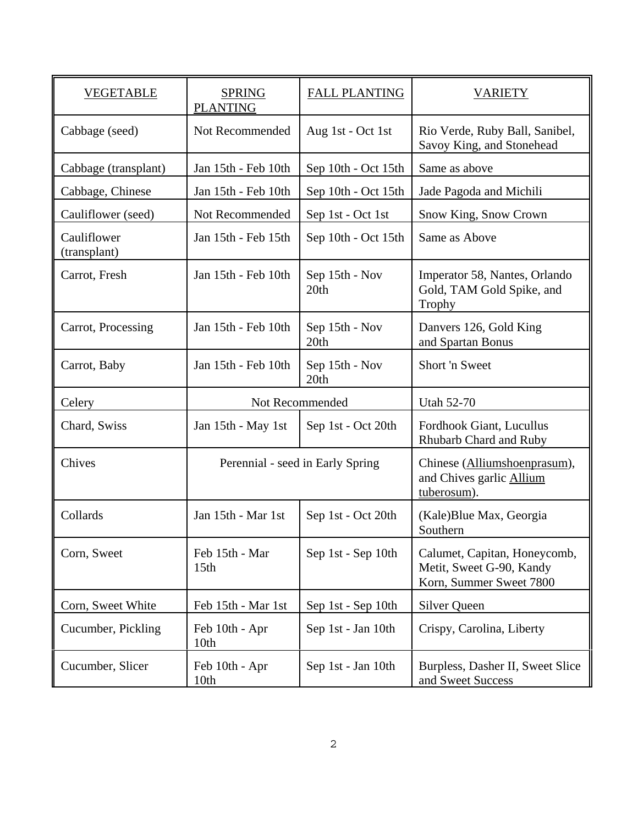| <b>VEGETABLE</b>            | <b>SPRING</b><br><b>PLANTING</b>   | <b>FALL PLANTING</b>   | <b>VARIETY</b>                                                                      |
|-----------------------------|------------------------------------|------------------------|-------------------------------------------------------------------------------------|
| Cabbage (seed)              | Not Recommended                    | Aug 1st - Oct 1st      | Rio Verde, Ruby Ball, Sanibel,<br>Savoy King, and Stonehead                         |
| Cabbage (transplant)        | Jan 15th - Feb 10th                | Sep 10th - Oct 15th    | Same as above                                                                       |
| Cabbage, Chinese            | Jan 15th - Feb 10th                | Sep 10th - Oct 15th    | Jade Pagoda and Michili                                                             |
| Cauliflower (seed)          | Not Recommended                    | Sep 1st - Oct 1st      | Snow King, Snow Crown                                                               |
| Cauliflower<br>(transplant) | Jan 15th - Feb 15th                | Sep 10th - Oct 15th    | Same as Above                                                                       |
| Carrot, Fresh               | Jan 15th - Feb 10th                | Sep 15th - Nov<br>20th | Imperator 58, Nantes, Orlando<br>Gold, TAM Gold Spike, and<br><b>Trophy</b>         |
| Carrot, Processing          | Jan 15th - Feb 10th                | Sep 15th - Nov<br>20th | Danvers 126, Gold King<br>and Spartan Bonus                                         |
| Carrot, Baby                | Jan 15th - Feb 10th                | Sep 15th - Nov<br>20th | Short 'n Sweet                                                                      |
| Celery                      | Not Recommended                    |                        | <b>Utah 52-70</b>                                                                   |
| Chard, Swiss                | Jan 15th - May 1st                 | Sep 1st - Oct 20th     | Fordhook Giant, Lucullus<br>Rhubarb Chard and Ruby                                  |
| Chives                      | Perennial - seed in Early Spring   |                        | Chinese (Alliumshoenprasum),<br>and Chives garlic Allium<br>tuberosum).             |
| Collards                    | Jan 15th - Mar 1st                 | Sep 1st - Oct 20th     | (Kale) Blue Max, Georgia<br>Southern                                                |
| Corn, Sweet                 | Feb 15th - Mar<br>15 <sub>th</sub> | Sep 1st - Sep 10th     | Calumet, Capitan, Honeycomb,<br>Metit, Sweet G-90, Kandy<br>Korn, Summer Sweet 7800 |
| Corn, Sweet White           | Feb 15th - Mar 1st                 | Sep 1st - Sep 10th     | <b>Silver Queen</b>                                                                 |
| Cucumber, Pickling          | Feb 10th - Apr<br>10th             | Sep 1st - Jan 10th     | Crispy, Carolina, Liberty                                                           |
| Cucumber, Slicer            | Feb 10th - Apr<br>10th             | Sep 1st - Jan 10th     | Burpless, Dasher II, Sweet Slice<br>and Sweet Success                               |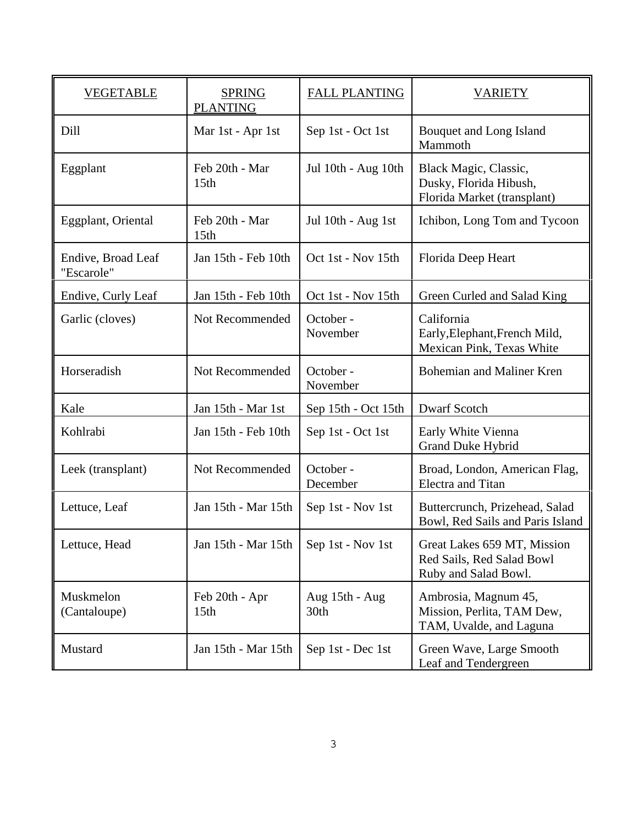| <b>VEGETABLE</b>                 | <b>SPRING</b><br><b>PLANTING</b>   | <b>FALL PLANTING</b>   | <b>VARIETY</b>                                                                   |
|----------------------------------|------------------------------------|------------------------|----------------------------------------------------------------------------------|
| Dill                             | Mar 1st - Apr 1st                  | Sep 1st - Oct 1st      | Bouquet and Long Island<br>Mammoth                                               |
| Eggplant                         | Feb 20th - Mar<br>15 <sub>th</sub> | Jul 10th - Aug 10th    | Black Magic, Classic,<br>Dusky, Florida Hibush,<br>Florida Market (transplant)   |
| Eggplant, Oriental               | Feb 20th - Mar<br>15 <sub>th</sub> | Jul 10th - Aug 1st     | Ichibon, Long Tom and Tycoon                                                     |
| Endive, Broad Leaf<br>"Escarole" | Jan 15th - Feb 10th                | Oct 1st - Nov 15th     | Florida Deep Heart                                                               |
| Endive, Curly Leaf               | Jan 15th - Feb 10th                | Oct 1st - Nov 15th     | Green Curled and Salad King                                                      |
| Garlic (cloves)                  | Not Recommended                    | October -<br>November  | California<br>Early, Elephant, French Mild,<br>Mexican Pink, Texas White         |
| Horseradish                      | Not Recommended                    | October -<br>November  | Bohemian and Maliner Kren                                                        |
| Kale                             | Jan 15th - Mar 1st                 | Sep 15th - Oct 15th    | <b>Dwarf Scotch</b>                                                              |
| Kohlrabi                         | Jan 15th - Feb 10th                | Sep 1st - Oct 1st      | Early White Vienna<br>Grand Duke Hybrid                                          |
| Leek (transplant)                | Not Recommended                    | October -<br>December  | Broad, London, American Flag,<br><b>Electra</b> and Titan                        |
| Lettuce, Leaf                    | Jan 15th - Mar 15th                | Sep 1st - Nov 1st      | Buttercrunch, Prizehead, Salad<br>Bowl, Red Sails and Paris Island               |
| Lettuce, Head                    | Jan 15th - Mar 15th                | Sep 1st - Nov 1st      | Great Lakes 659 MT, Mission<br>Red Sails, Red Salad Bowl<br>Ruby and Salad Bowl. |
| Muskmelon<br>(Cantaloupe)        | Feb 20th - Apr<br>15 <sub>th</sub> | Aug 15th - Aug<br>30th | Ambrosia, Magnum 45,<br>Mission, Perlita, TAM Dew,<br>TAM, Uvalde, and Laguna    |
| Mustard                          | Jan 15th - Mar 15th                | Sep 1st - Dec 1st      | Green Wave, Large Smooth<br>Leaf and Tendergreen                                 |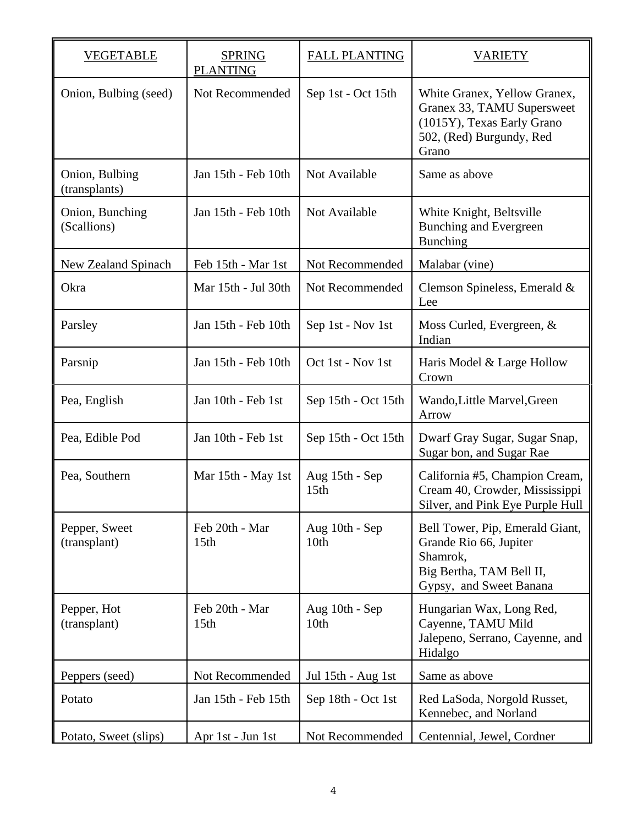| VEGETABLE                       | <b>SPRING</b><br><b>PLANTING</b>   | <b>FALL PLANTING</b>               | <b>VARIETY</b>                                                                                                                |
|---------------------------------|------------------------------------|------------------------------------|-------------------------------------------------------------------------------------------------------------------------------|
| Onion, Bulbing (seed)           | Not Recommended                    | Sep 1st - Oct 15th                 | White Granex, Yellow Granex,<br>Granex 33, TAMU Supersweet<br>(1015Y), Texas Early Grano<br>502, (Red) Burgundy, Red<br>Grano |
| Onion, Bulbing<br>(transplants) | Jan 15th - Feb 10th                | Not Available                      | Same as above                                                                                                                 |
| Onion, Bunching<br>(Scallions)  | Jan 15th - Feb 10th                | Not Available                      | White Knight, Beltsville<br><b>Bunching and Evergreen</b><br><b>Bunching</b>                                                  |
| New Zealand Spinach             | Feb 15th - Mar 1st                 | Not Recommended                    | Malabar (vine)                                                                                                                |
| Okra                            | Mar 15th - Jul 30th                | Not Recommended                    | Clemson Spineless, Emerald &<br>Lee                                                                                           |
| Parsley                         | Jan 15th - Feb 10th                | Sep 1st - Nov 1st                  | Moss Curled, Evergreen, &<br>Indian                                                                                           |
| Parsnip                         | Jan 15th - Feb 10th                | Oct 1st - Nov 1st                  | Haris Model & Large Hollow<br>Crown                                                                                           |
| Pea, English                    | Jan 10th - Feb 1st                 | Sep 15th - Oct 15th                | Wando, Little Marvel, Green<br>Arrow                                                                                          |
| Pea, Edible Pod                 | Jan 10th - Feb 1st                 | Sep 15th - Oct 15th                | Dwarf Gray Sugar, Sugar Snap,<br>Sugar bon, and Sugar Rae                                                                     |
| Pea, Southern                   | Mar 15th - May 1st                 | Aug 15th - Sep<br>15 <sub>th</sub> | California #5, Champion Cream,<br>Cream 40, Crowder, Mississippi<br>Silver, and Pink Eye Purple Hull                          |
| Pepper, Sweet<br>(transplant)   | Feb 20th - Mar<br>15 <sub>th</sub> | Aug 10th - Sep<br>10 <sub>th</sub> | Bell Tower, Pip, Emerald Giant,<br>Grande Rio 66, Jupiter<br>Shamrok,<br>Big Bertha, TAM Bell II,<br>Gypsy, and Sweet Banana  |
| Pepper, Hot<br>(transplant)     | Feb 20th - Mar<br>15 <sub>th</sub> | Aug 10th - Sep<br>10th             | Hungarian Wax, Long Red,<br>Cayenne, TAMU Mild<br>Jalepeno, Serrano, Cayenne, and<br>Hidalgo                                  |
| Peppers (seed)                  | Not Recommended                    | Jul 15th - Aug 1st                 | Same as above                                                                                                                 |
| Potato                          | Jan 15th - Feb 15th                | Sep 18th - Oct 1st                 | Red LaSoda, Norgold Russet,<br>Kennebec, and Norland                                                                          |
| Potato, Sweet (slips)           | Apr 1st - Jun 1st                  | Not Recommended                    | Centennial, Jewel, Cordner                                                                                                    |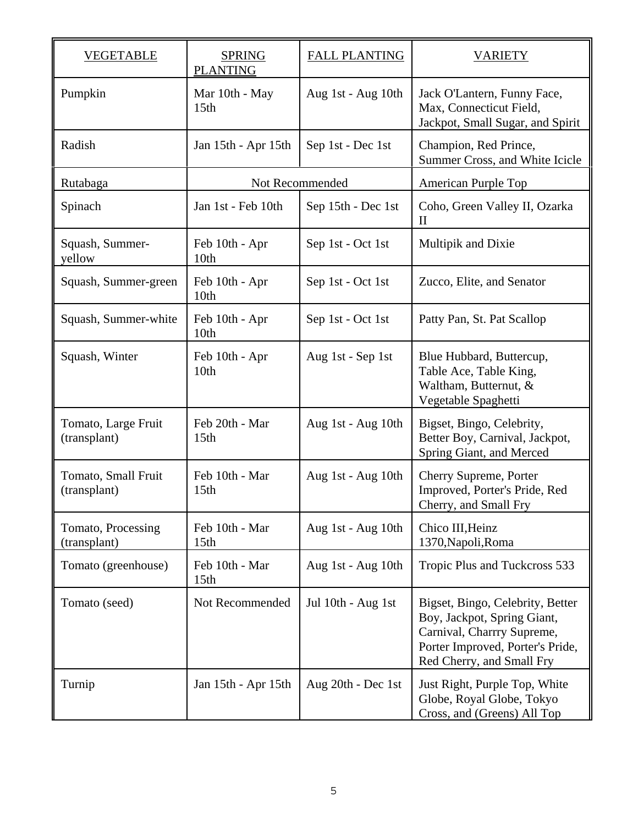| <b>VEGETABLE</b>                    | <b>SPRING</b><br><b>PLANTING</b>   | <b>FALL PLANTING</b> | <b>VARIETY</b>                                                                                                                                                 |
|-------------------------------------|------------------------------------|----------------------|----------------------------------------------------------------------------------------------------------------------------------------------------------------|
| Pumpkin                             | Mar 10th - May<br>15 <sub>th</sub> | Aug 1st - Aug 10th   | Jack O'Lantern, Funny Face,<br>Max, Connecticut Field,<br>Jackpot, Small Sugar, and Spirit                                                                     |
| Radish                              | Jan 15th - Apr 15th                | Sep 1st - Dec 1st    | Champion, Red Prince,<br>Summer Cross, and White Icicle                                                                                                        |
| Rutabaga                            | Not Recommended                    |                      | American Purple Top                                                                                                                                            |
| Spinach                             | Jan 1st - Feb 10th                 | Sep 15th - Dec 1st   | Coho, Green Valley II, Ozarka<br>$\mathbf{I}$                                                                                                                  |
| Squash, Summer-<br>yellow           | Feb 10th - Apr<br>10th             | Sep 1st - Oct 1st    | Multipik and Dixie                                                                                                                                             |
| Squash, Summer-green                | Feb 10th - Apr<br>10th             | Sep 1st - Oct 1st    | Zucco, Elite, and Senator                                                                                                                                      |
| Squash, Summer-white                | Feb 10th - Apr<br>10th             | Sep 1st - Oct 1st    | Patty Pan, St. Pat Scallop                                                                                                                                     |
| Squash, Winter                      | Feb 10th - Apr<br>10th             | Aug 1st - Sep 1st    | Blue Hubbard, Buttercup,<br>Table Ace, Table King,<br>Waltham, Butternut, &<br>Vegetable Spaghetti                                                             |
| Tomato, Large Fruit<br>(transplant) | Feb 20th - Mar<br>15 <sub>th</sub> | Aug 1st - Aug 10th   | Bigset, Bingo, Celebrity,<br>Better Boy, Carnival, Jackpot,<br>Spring Giant, and Merced                                                                        |
| Tomato, Small Fruit<br>(transplant) | Feb 10th - Mar<br>15 <sub>th</sub> | Aug 1st - Aug 10th   | Cherry Supreme, Porter<br>Improved, Porter's Pride, Red<br>Cherry, and Small Fry                                                                               |
| Tomato, Processing<br>(transplant)  | Feb 10th - Mar<br>15 <sub>th</sub> | Aug 1st - Aug 10th   | Chico III, Heinz<br>1370, Napoli, Roma                                                                                                                         |
| Tomato (greenhouse)                 | Feb 10th - Mar<br>15 <sub>th</sub> | Aug 1st - Aug 10th   | Tropic Plus and Tuckcross 533                                                                                                                                  |
| Tomato (seed)                       | Not Recommended                    | Jul 10th - Aug 1st   | Bigset, Bingo, Celebrity, Better<br>Boy, Jackpot, Spring Giant,<br>Carnival, Charrry Supreme,<br>Porter Improved, Porter's Pride,<br>Red Cherry, and Small Fry |
| Turnip                              | Jan 15th - Apr 15th                | Aug 20th - Dec 1st   | Just Right, Purple Top, White<br>Globe, Royal Globe, Tokyo<br>Cross, and (Greens) All Top                                                                      |